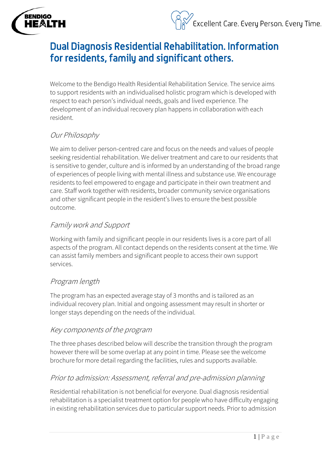

# Dual Diagnosis Residential Rehabilitation. Information for residents, family and significant others.

Welcome to the Bendigo Health Residential Rehabilitation Service. The service aims to support residents with an individualised holistic program which is developed with respect to each person's individual needs, goals and lived experience. The development of an individual recovery plan happens in collaboration with each resident.

# Our Philosophy

**BENDIGO** 

HE&LTH

We aim to deliver person-centred care and focus on the needs and values of people seeking residential rehabilitation. We deliver treatment and care to our residents that is sensitive to gender, culture and is informed by an understanding of the broad range of experiences of people living with mental illness and substance use. We encourage residents to feel empowered to engage and participate in their own treatment and care. Staff work together with residents, broader community service organisations and other significant people in the resident's lives to ensure the best possible outcome.

### Family work and Support

Working with family and significant people in our residents lives is a core part of all aspects of the program. All contact depends on the residents consent at the time. We can assist family members and significant people to access their own support services.

#### Program length

The program has an expected average stay of 3 months and is tailored as an individual recovery plan. Initial and ongoing assessment may result in shorter or longer stays depending on the needs of the individual.

#### Key components of the program

The three phases described below will describe the transition through the program however there will be some overlap at any point in time. Please see the welcome brochure for more detail regarding the facilities, rules and supports available.

#### Prior to admission: Assessment, referral and pre-admission planning

Residential rehabilitation is not beneficial for everyone. Dual diagnosis residential rehabilitation is a specialist treatment option for people who have difficulty engaging in existing rehabilitation services due to particular support needs. Prior to admission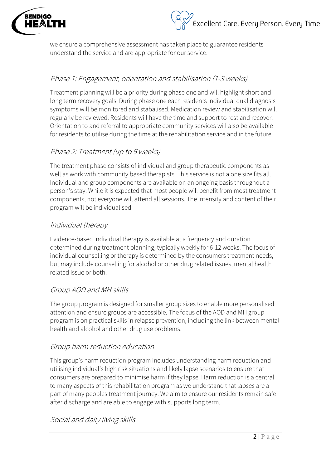

we ensure a comprehensive assessment has taken place to guarantee residents understand the service and are appropriate for our service.

## Phase 1: Engagement, orientation and stabilisation (1-3 weeks)

Treatment planning will be a priority during phase one and will highlight short and long term recovery goals. During phase one each residents individual dual diagnosis symptoms will be monitored and stabalised. Medication review and stabilisation will regularly be reviewed. Residents will have the time and support to rest and recover. Orientation to and referral to appropriate community services will also be available for residents to utilise during the time at the rehabilitation service and in the future.

### Phase 2: Treatment (up to 6 weeks)

The treatment phase consists of individual and group therapeutic components as well as work with community based therapists. This service is not a one size fits all. Individual and group components are available on an ongoing basis throughout a person's stay. While it is expected that most people will benefit from most treatment components, not everyone will attend all sessions. The intensity and content of their program will be individualised.

#### Individual therapy

Evidence-based individual therapy is available at a frequency and duration determined during treatment planning, typically weekly for 6-12 weeks. The focus of individual counselling or therapy is determined by the consumers treatment needs, but may include counselling for alcohol or other drug related issues, mental health related issue or both.

#### Group AOD and MH skills

The group program is designed for smaller group sizes to enable more personalised attention and ensure groups are accessible. The focus of the AOD and MH group program is on practical skills in relapse prevention, including the link between mental health and alcohol and other drug use problems.

#### Group harm reduction education

This group's harm reduction program includes understanding harm reduction and utilising individual's high risk situations and likely lapse scenarios to ensure that consumers are prepared to minimise harm if they lapse. Harm reduction is a central to many aspects of this rehabilitation program as we understand that lapses are a part of many peoples treatment journey. We aim to ensure our residents remain safe after discharge and are able to engage with supports long term.

Social and daily living skills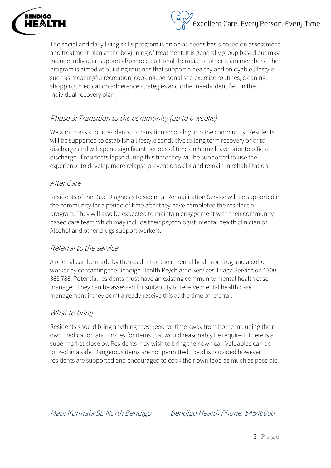



The social and daily living skills program is on an as needs basis based on assessment and treatment plan at the beginning of treatment. It is generally group based but may include individual supports from occupational therapist or other team members. The program is aimed at building routines that support a healthy and enjoyable lifestyle such as meaningful recreation, cooking, personalised exercise routines, cleaning, shopping, medication adherence strategies and other needs identified in the individual recovery plan.

#### Phase 3: Transition to the community (up to 6 weeks)

We aim to assist our residents to transition smoothly into the community. Residents will be supported to establish a lifestyle conducive to long term recovery prior to discharge and will spend significant periods of time on home leave prior to official discharge. If residents lapse during this time they will be supported to use the experience to develop more relapse prevention skills and remain in rehabilitation.

#### After Care

Residents of the Dual Diagnosis Residential Rehabilitation Service will be supported in the community for a period of time after they have completed the residential program. They will also be expected to maintain engagement with their community based care team which may include their psychologist, mental health clinician or Alcohol and other drugs support workers.

#### Referral to the service

A referral can be made by the resident or their mental health or drug and alcohol worker by contacting the Bendigo Health Psychiatric Services Triage Service on 1300 363 788. Potential residents must have an existing community mental health case manager. They can be assessed for suitability to receive mental health case management if they don't already receive this at the time of referral.

#### What to bring

Residents should bring anything they need for time away from home including their own medication and money for items that would reasonably be required. There is a supermarket close by. Residents may wish to bring their own car. Valuables can be locked in a safe. Dangerous items are not permitted. Food is provided however residents are supported and encouraged to cook their own food as much as possible.

Map: Kurmala St. North Bendigo Bendigo Health Phone: 54546000